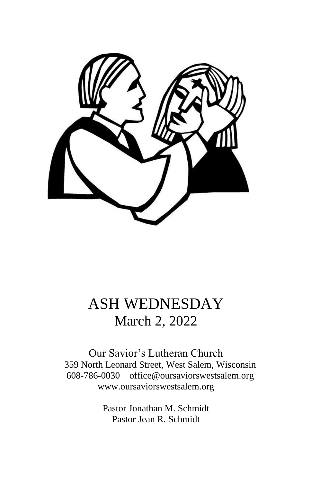

# ASH WEDNESDAY March 2, 2022

Our Savior's Lutheran Church 359 North Leonard Street, West Salem, Wisconsin 608-786-0030 office@oursaviorswestsalem.org [www.oursaviorswestsalem.org](http://www.oursaviorswestsalem.org/)

> Pastor Jonathan M. Schmidt Pastor Jean R. Schmidt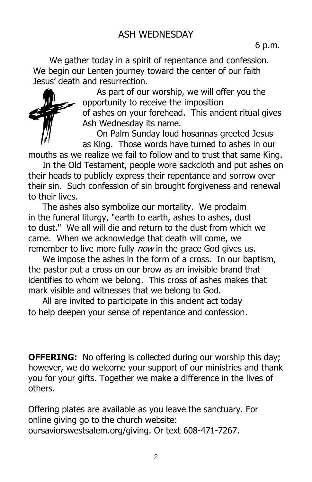We gather today in a spirit of repentance and confession. We begin our Lenten journey toward the center of our faith Jesus' death and resurrection.



As part of our worship, we will offer you the opportunity to receive the imposition of ashes on your forehead. This ancient ritual gives Ash Wednesday its name.

On Palm Sunday loud hosannas greeted Jesus as King. Those words have turned to ashes in our

mouths as we realize we fail to follow and to trust that same King.

In the Old Testament, people wore sackcloth and put ashes on their heads to publicly express their repentance and sorrow over their sin. Such confession of sin brought forgiveness and renewal to their lives.

The ashes also symbolize our mortality. We proclaim in the funeral liturgy, "earth to earth, ashes to ashes, dust to dust." We all will die and return to the dust from which we came. When we acknowledge that death will come, we remember to live more fully *now* in the grace God gives us.

We impose the ashes in the form of a cross. In our baptism, the pastor put a cross on our brow as an invisible brand that identifies to whom we belong. This cross of ashes makes that mark visible and witnesses that we belong to God.

All are invited to participate in this ancient act today to help deepen your sense of repentance and confession.

**OFFERING:** No offering is collected during our worship this day; however, we do welcome your support of our ministries and thank you for your gifts. Together we make a difference in the lives of others.

Offering plates are available as you leave the sanctuary. For online giving go to the church website: oursaviorswestsalem.org/giving. Or text 608-471-7267.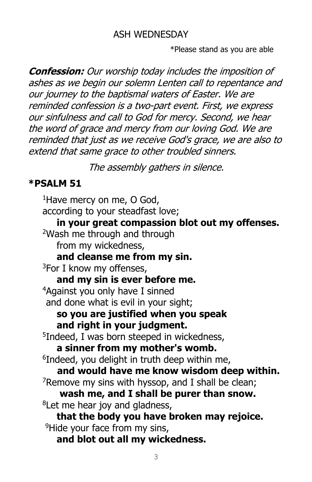#### ASH WEDNESDAY

\*Please stand as you are able

**Confession:** Our worship today includes the imposition of ashes as we begin our solemn Lenten call to repentance and our journey to the baptismal waters of Easter. We are reminded confession is a two-part event. First, we express our sinfulness and call to God for mercy. Second, we hear the word of grace and mercy from our loving God. We are reminded that just as we receive God's grace, we are also to extend that same grace to other troubled sinners.

The assembly gathers in silence.

### **\*PSALM 51**

<sup>1</sup>Have mercy on me, O God, according to your steadfast love; **in your great compassion blot out my offenses.** <sup>2</sup>Wash me through and through from my wickedness, **and cleanse me from my sin.**  $3$ For I know my offenses, **and my sin is ever before me.** <sup>4</sup>Against you only have I sinned and done what is evil in your sight; **so you are justified when you speak and right in your judgment.**  5 Indeed, I was born steeped in wickedness, **a sinner from my mother's womb.** 6 Indeed, you delight in truth deep within me, **and would have me know wisdom deep within.**  $7$ Remove my sins with hyssop, and I shall be clean; **wash me, and I shall be purer than snow.** <sup>8</sup>Let me hear joy and gladness, **that the body you have broken may rejoice.** <sup>9</sup>Hide your face from my sins, **and blot out all my wickedness.**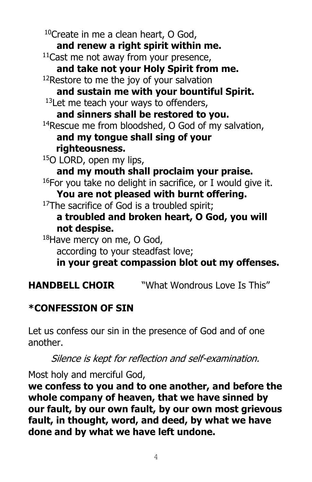<sup>10</sup>Create in me a clean heart, O God, **and renew a right spirit within me.** <sup>11</sup>Cast me not away from your presence, **and take not your Holy Spirit from me.**  $12$ Restore to me the joy of your salvation **and sustain me with your bountiful Spirit.**  $13$  Let me teach your ways to offenders, **and sinners shall be restored to you.** <sup>14</sup>Rescue me from bloodshed, O God of my salvation, **and my tongue shall sing of your righteousness.** <sup>15</sup>O LORD, open my lips, **and my mouth shall proclaim your praise.**  $16$ For you take no delight in sacrifice, or I would give it. **You are not pleased with burnt offering.** <sup>17</sup>The sacrifice of God is a troubled spirit; **a troubled and broken heart, O God, you will not despise.** 18Have mercy on me, O God, according to your steadfast love; **in your great compassion blot out my offenses.**

**HANDBELL CHOIR** "What Wondrous Love Is This"

## **\*CONFESSION OF SIN**

Let us confess our sin in the presence of God and of one another.

Silence is kept for reflection and self-examination.

Most holy and merciful God,

**we confess to you and to one another, and before the whole company of heaven, that we have sinned by our fault, by our own fault, by our own most grievous fault, in thought, word, and deed, by what we have done and by what we have left undone.**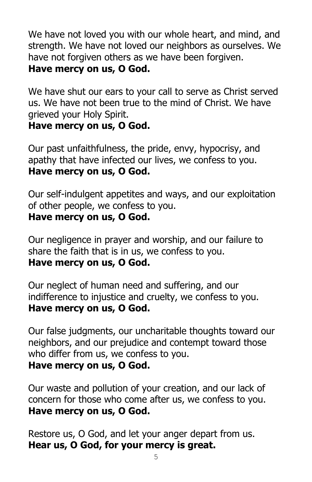We have not loved you with our whole heart, and mind, and strength. We have not loved our neighbors as ourselves. We have not forgiven others as we have been forgiven. **Have mercy on us, O God.**

We have shut our ears to your call to serve as Christ served us. We have not been true to the mind of Christ. We have grieved your Holy Spirit.

#### **Have mercy on us, O God.**

Our past unfaithfulness, the pride, envy, hypocrisy, and apathy that have infected our lives, we confess to you. **Have mercy on us, O God.**

Our self-indulgent appetites and ways, and our exploitation of other people, we confess to you.

#### **Have mercy on us, O God.**

Our negligence in prayer and worship, and our failure to share the faith that is in us, we confess to you. **Have mercy on us, O God.**

Our neglect of human need and suffering, and our indifference to injustice and cruelty, we confess to you. **Have mercy on us, O God.**

Our false judgments, our uncharitable thoughts toward our neighbors, and our prejudice and contempt toward those who differ from us, we confess to you. **Have mercy on us, O God.**

Our waste and pollution of your creation, and our lack of concern for those who come after us, we confess to you. **Have mercy on us, O God.**

Restore us, O God, and let your anger depart from us. **Hear us, O God, for your mercy is great.**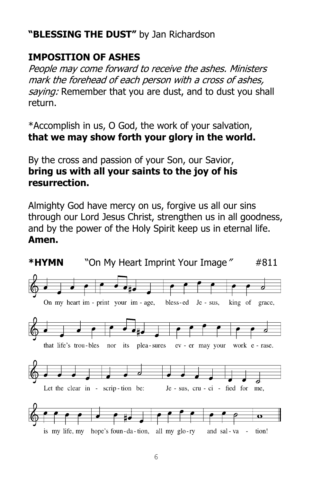### **"BLESSING THE DUST"** by Jan Richardson

### **IMPOSITION OF ASHES**

People may come forward to receive the ashes. Ministers mark the forehead of each person with a cross of ashes, saying: Remember that you are dust, and to dust you shall return.

\*Accomplish in us, O God, the work of your salvation, **that we may show forth your glory in the world.**

By the cross and passion of your Son, our Savior, **bring us with all your saints to the joy of his resurrection.**

Almighty God have mercy on us, forgive us all our sins through our Lord Jesus Christ, strengthen us in all goodness, and by the power of the Holy Spirit keep us in eternal life. **Amen.**

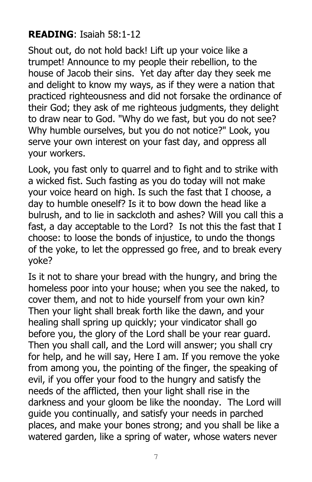### **READING**: Isaiah 58:1-12

Shout out, do not hold back! Lift up your voice like a trumpet! Announce to my people their rebellion, to the house of Jacob their sins. Yet day after day they seek me and delight to know my ways, as if they were a nation that practiced righteousness and did not forsake the ordinance of their God; they ask of me righteous judgments, they delight to draw near to God. "Why do we fast, but you do not see? Why humble ourselves, but you do not notice?" Look, you serve your own interest on your fast day, and oppress all your workers.

Look, you fast only to quarrel and to fight and to strike with a wicked fist. Such fasting as you do today will not make your voice heard on high. Is such the fast that I choose, a day to humble oneself? Is it to bow down the head like a bulrush, and to lie in sackcloth and ashes? Will you call this a fast, a day acceptable to the Lord? Is not this the fast that I choose: to loose the bonds of injustice, to undo the thongs of the yoke, to let the oppressed go free, and to break every yoke?

Is it not to share your bread with the hungry, and bring the homeless poor into your house; when you see the naked, to cover them, and not to hide yourself from your own kin? Then your light shall break forth like the dawn, and your healing shall spring up quickly; your vindicator shall go before you, the glory of the Lord shall be your rear guard. Then you shall call, and the Lord will answer; you shall cry for help, and he will say, Here I am. If you remove the yoke from among you, the pointing of the finger, the speaking of evil, if you offer your food to the hungry and satisfy the needs of the afflicted, then your light shall rise in the darkness and your gloom be like the noonday. The Lord will guide you continually, and satisfy your needs in parched places, and make your bones strong; and you shall be like a watered garden, like a spring of water, whose waters never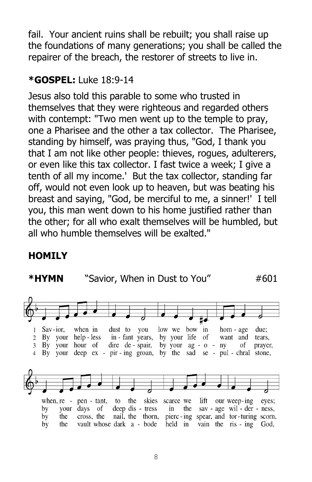fail. Your ancient ruins shall be rebuilt; you shall raise up the foundations of many generations; you shall be called the repairer of the breach, the restorer of streets to live in.

### **\*GOSPEL:** Luke 18:9-14

Jesus also told this parable to some who trusted in themselves that they were righteous and regarded others with contempt: "Two men went up to the temple to pray, one a Pharisee and the other a tax collector. The Pharisee, standing by himself, was praying thus, "God, I thank you that I am not like other people: thieves, rogues, adulterers, or even like this tax collector. I fast twice a week; I give a tenth of all my income.' But the tax collector, standing far off, would not even look up to heaven, but was beating his breast and saying, "God, be merciful to me, a sinner!' I tell you, this man went down to his home justified rather than the other; for all who exalt themselves will be humbled, but all who humble themselves will be exalted."

### **HOMILY**

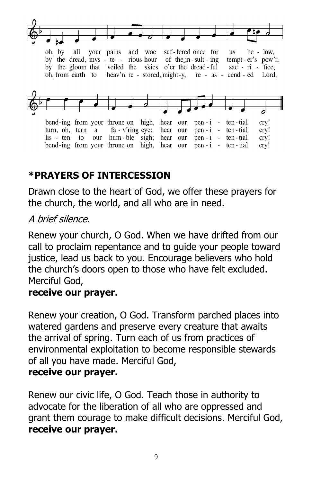

oh, by all your pains and woe suf-fered once for **us**  $be - low$ , of the in-sult-ing by the dread, mys - te - rious hour tempt - er's pow'r, by the gloom that veiled the skies o'er the dread-ful sac -  $ri$  - fice, heav'n re - stored, might-y, re - as - cend - ed Lord, oh, from earth to



bend-ing from your throne on high, hear our pen -  $i$  - ten - tial cry!  $fa - v'$ ring eye; hear our cry! turn, oh, turn a  $pen - i$  ten - tial lis - ten to our hum-ble sigh; hear our  $pen - i$  ten - tial cry! bend-ing from your throne on high, hear our  $pen - i$  ten - tial cry!

### **\*PRAYERS OF INTERCESSION**

Drawn close to the heart of God, we offer these prayers for the church, the world, and all who are in need.

#### A brief silence.

Renew your church, O God. When we have drifted from our call to proclaim repentance and to guide your people toward justice, lead us back to you. Encourage believers who hold the church's doors open to those who have felt excluded. Merciful God,

#### **receive our prayer.**

Renew your creation, O God. Transform parched places into watered gardens and preserve every creature that awaits the arrival of spring. Turn each of us from practices of environmental exploitation to become responsible stewards of all you have made. Merciful God,

#### **receive our prayer.**

Renew our civic life, O God. Teach those in authority to advocate for the liberation of all who are oppressed and grant them courage to make difficult decisions. Merciful God, **receive our prayer.**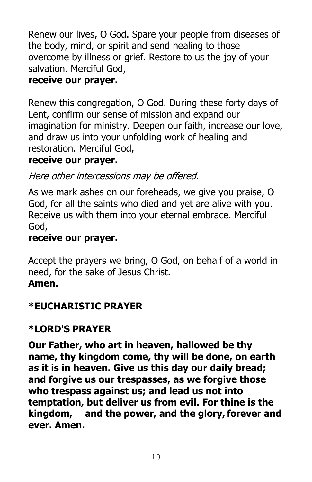Renew our lives, O God. Spare your people from diseases of the body, mind, or spirit and send healing to those overcome by illness or grief. Restore to us the joy of your salvation. Merciful God,

### **receive our prayer.**

Renew this congregation, O God. During these forty days of Lent, confirm our sense of mission and expand our imagination for ministry. Deepen our faith, increase our love, and draw us into your unfolding work of healing and restoration. Merciful God,

### **receive our prayer.**

Here other intercessions may be offered.

As we mark ashes on our foreheads, we give you praise, O God, for all the saints who died and yet are alive with you. Receive us with them into your eternal embrace. Merciful God,

### **receive our prayer.**

Accept the prayers we bring, O God, on behalf of a world in need, for the sake of Jesus Christ. **Amen.**

### **\*EUCHARISTIC PRAYER**

### **\*LORD'S PRAYER**

**Our Father, who art in heaven, hallowed be thy name, thy kingdom come, thy will be done, on earth as it is in heaven. Give us this day our daily bread; and forgive us our trespasses, as we forgive those who trespass against us; and lead us not into temptation, but deliver us from evil. For thine is the kingdom, and the power, and the glory,forever and ever. Amen.**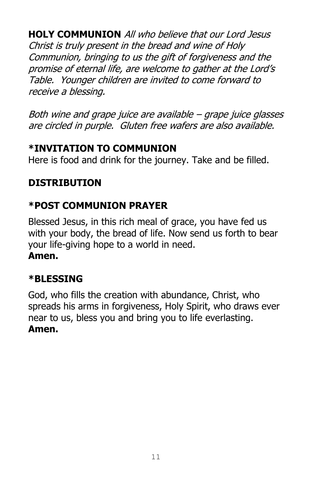**HOLY COMMUNION** All who believe that our Lord Jesus Christ is truly present in the bread and wine of Holy Communion, bringing to us the gift of forgiveness and the promise of eternal life, are welcome to gather at the Lord's Table. Younger children are invited to come forward to receive a blessing.

Both wine and grape juice are available – grape juice glasses are circled in purple. Gluten free wafers are also available.

### **\*INVITATION TO COMMUNION**

Here is food and drink for the journey. Take and be filled.

### **DISTRIBUTION**

### **\*POST COMMUNION PRAYER**

Blessed Jesus, in this rich meal of grace, you have fed us with your body, the bread of life. Now send us forth to bear your life-giving hope to a world in need. **Amen.**

### **\*BLESSING**

God, who fills the creation with abundance, Christ, who spreads his arms in forgiveness, Holy Spirit, who draws ever near to us, bless you and bring you to life everlasting. **Amen.**